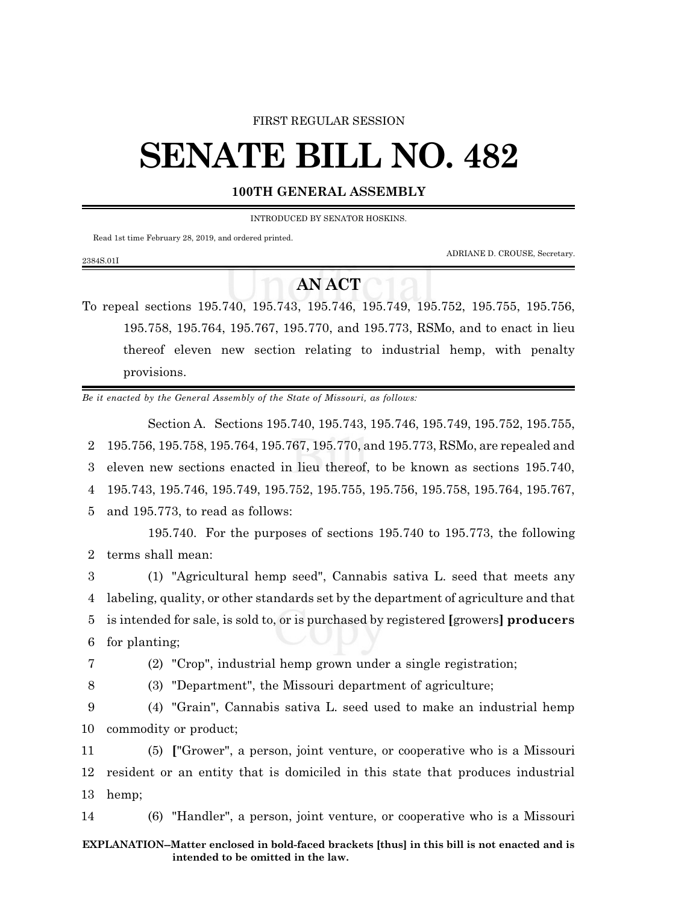### FIRST REGULAR SESSION

# **SENATE BILL NO. 482**

## **100TH GENERAL ASSEMBLY**

INTRODUCED BY SENATOR HOSKINS.

Read 1st time February 28, 2019, and ordered printed.

ADRIANE D. CROUSE, Secretary.

# **AN ACT**

To repeal sections 195.740, 195.743, 195.746, 195.749, 195.752, 195.755, 195.756, 195.758, 195.764, 195.767, 195.770, and 195.773, RSMo, and to enact in lieu thereof eleven new section relating to industrial hemp, with penalty provisions.

*Be it enacted by the General Assembly of the State of Missouri, as follows:*

Section A. Sections 195.740, 195.743, 195.746, 195.749, 195.752, 195.755, 195.756, 195.758, 195.764, 195.767, 195.770, and 195.773, RSMo, are repealed and eleven new sections enacted in lieu thereof, to be known as sections 195.740, 195.743, 195.746, 195.749, 195.752, 195.755, 195.756, 195.758, 195.764, 195.767, and 195.773, to read as follows:

195.740. For the purposes of sections 195.740 to 195.773, the following 2 terms shall mean:

 (1) "Agricultural hemp seed", Cannabis sativa L. seed that meets any labeling, quality, or other standards set by the department of agriculture and that is intended for sale, is sold to, or is purchased by registered **[**growers**] producers** for planting;

2384S.01I

7 (2) "Crop", industrial hemp grown under a single registration;

8 (3) "Department", the Missouri department of agriculture;

9 (4) "Grain", Cannabis sativa L. seed used to make an industrial hemp 10 commodity or product;

11 (5) **[**"Grower", a person, joint venture, or cooperative who is a Missouri 12 resident or an entity that is domiciled in this state that produces industrial 13 hemp;

14 (6) "Handler", a person, joint venture, or cooperative who is a Missouri

### **EXPLANATION--Matter enclosed in bold-faced brackets [thus] in this bill is not enacted and is intended to be omitted in the law.**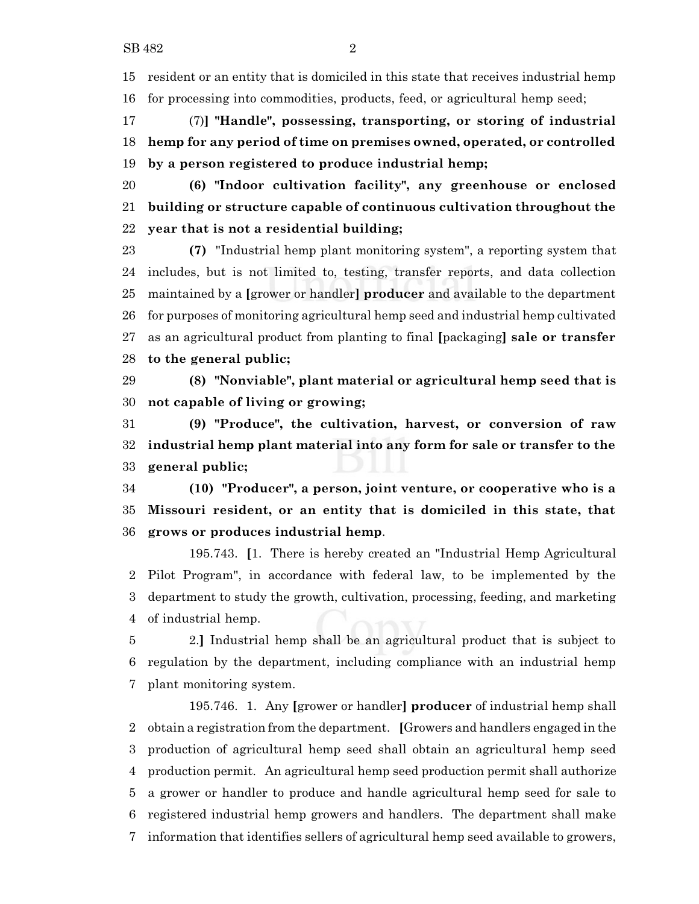resident or an entity that is domiciled in this state that receives industrial hemp for processing into commodities, products, feed, or agricultural hemp seed;

 (7)**] "Handle", possessing, transporting, or storing of industrial hemp for any period of time on premises owned, operated, or controlled by a person registered to produce industrial hemp;**

 **(6) "Indoor cultivation facility", any greenhouse or enclosed building or structure capable of continuous cultivation throughout the year that is not a residential building;**

 **(7)** "Industrial hemp plant monitoring system", a reporting system that includes, but is not limited to, testing, transfer reports, and data collection maintained by a **[**grower or handler**] producer** and available to the department for purposes of monitoring agricultural hemp seed and industrial hemp cultivated as an agricultural product from planting to final **[**packaging**] sale or transfer to the general public;**

 **(8) "Nonviable", plant material or agricultural hemp seed that is not capable of living or growing;**

 **(9) "Produce", the cultivation, harvest, or conversion of raw industrial hemp plant material into any form for sale or transfer to the general public;**

 **(10) "Producer", a person, joint venture, or cooperative who is a Missouri resident, or an entity that is domiciled in this state, that grows or produces industrial hemp**.

195.743. **[**1. There is hereby created an "Industrial Hemp Agricultural Pilot Program", in accordance with federal law, to be implemented by the department to study the growth, cultivation, processing, feeding, and marketing of industrial hemp.

 2.**]** Industrial hemp shall be an agricultural product that is subject to regulation by the department, including compliance with an industrial hemp plant monitoring system.

195.746. 1. Any **[**grower or handler**] producer** of industrial hemp shall obtain a registration from the department. **[**Growers and handlers engaged in the production of agricultural hemp seed shall obtain an agricultural hemp seed production permit. An agricultural hemp seed production permit shall authorize a grower or handler to produce and handle agricultural hemp seed for sale to registered industrial hemp growers and handlers. The department shall make information that identifies sellers of agricultural hemp seed available to growers,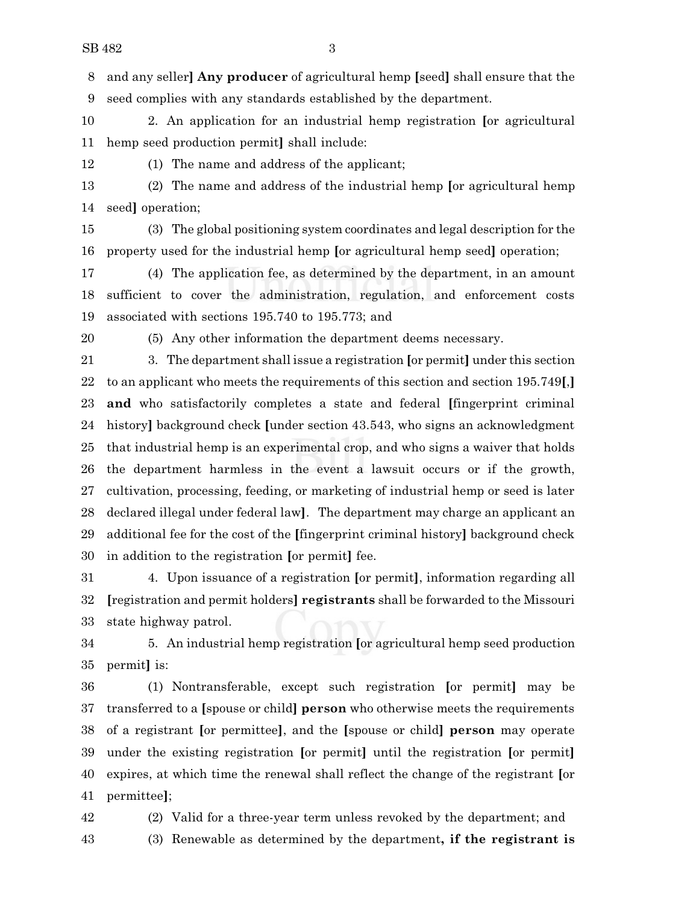and any seller**] Any producer** of agricultural hemp **[**seed**]** shall ensure that the seed complies with any standards established by the department.

 2. An application for an industrial hemp registration **[**or agricultural hemp seed production permit**]** shall include:

(1) The name and address of the applicant;

 (2) The name and address of the industrial hemp **[**or agricultural hemp seed**]** operation;

 (3) The global positioning system coordinates and legal description for the property used for the industrial hemp **[**or agricultural hemp seed**]** operation;

 (4) The application fee, as determined by the department, in an amount sufficient to cover the administration, regulation, and enforcement costs associated with sections 195.740 to 195.773; and

(5) Any other information the department deems necessary.

 3. The department shall issue a registration **[**or permit**]** under this section to an applicant who meets the requirements of this section and section 195.749**[**,**] and** who satisfactorily completes a state and federal **[**fingerprint criminal history**]** background check **[**under section 43.543, who signs an acknowledgment that industrial hemp is an experimental crop, and who signs a waiver that holds the department harmless in the event a lawsuit occurs or if the growth, cultivation, processing, feeding, or marketing of industrial hemp or seed is later declared illegal under federal law**]**. The department may charge an applicant an additional fee for the cost of the **[**fingerprint criminal history**]** background check in addition to the registration **[**or permit**]** fee.

 4. Upon issuance of a registration **[**or permit**]**, information regarding all **[**registration and permit holders**] registrants** shall be forwarded to the Missouri state highway patrol.

 5. An industrial hemp registration **[**or agricultural hemp seed production permit**]** is:

 (1) Nontransferable, except such registration **[**or permit**]** may be transferred to a **[**spouse or child**] person** who otherwise meets the requirements of a registrant **[**or permittee**]**, and the **[**spouse or child**] person** may operate under the existing registration **[**or permit**]** until the registration **[**or permit**]** expires, at which time the renewal shall reflect the change of the registrant **[**or permittee**]**;

 (2) Valid for a three-year term unless revoked by the department; and (3) Renewable as determined by the department**, if the registrant is**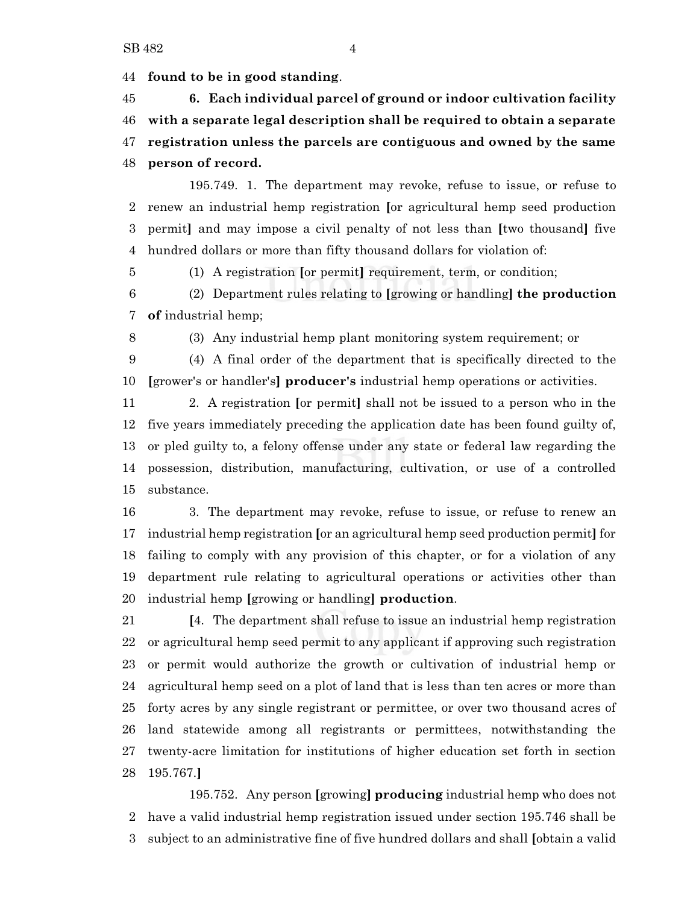**found to be in good standing**.

 **6. Each individual parcel of ground or indoor cultivation facility with a separate legal description shall be required to obtain a separate registration unless the parcels are contiguous and owned by the same person of record.**

195.749. 1. The department may revoke, refuse to issue, or refuse to renew an industrial hemp registration **[**or agricultural hemp seed production permit**]** and may impose a civil penalty of not less than **[**two thousand**]** five hundred dollars or more than fifty thousand dollars for violation of:

(1) A registration **[**or permit**]** requirement, term, or condition;

 (2) Department rules relating to **[**growing or handling**] the production of** industrial hemp;

(3) Any industrial hemp plant monitoring system requirement; or

 (4) A final order of the department that is specifically directed to the **[**grower's or handler's**] producer's** industrial hemp operations or activities.

 2. A registration **[**or permit**]** shall not be issued to a person who in the five years immediately preceding the application date has been found guilty of, or pled guilty to, a felony offense under any state or federal law regarding the possession, distribution, manufacturing, cultivation, or use of a controlled substance.

 3. The department may revoke, refuse to issue, or refuse to renew an industrial hemp registration **[**or an agricultural hemp seed production permit**]** for failing to comply with any provision of this chapter, or for a violation of any department rule relating to agricultural operations or activities other than industrial hemp **[**growing or handling**] production**.

 **[**4. The department shall refuse to issue an industrial hemp registration or agricultural hemp seed permit to any applicant if approving such registration or permit would authorize the growth or cultivation of industrial hemp or agricultural hemp seed on a plot of land that is less than ten acres or more than forty acres by any single registrant or permittee, or over two thousand acres of land statewide among all registrants or permittees, notwithstanding the twenty-acre limitation for institutions of higher education set forth in section 195.767.**]**

195.752. Any person **[**growing**] producing** industrial hemp who does not have a valid industrial hemp registration issued under section 195.746 shall be subject to an administrative fine of five hundred dollars and shall **[**obtain a valid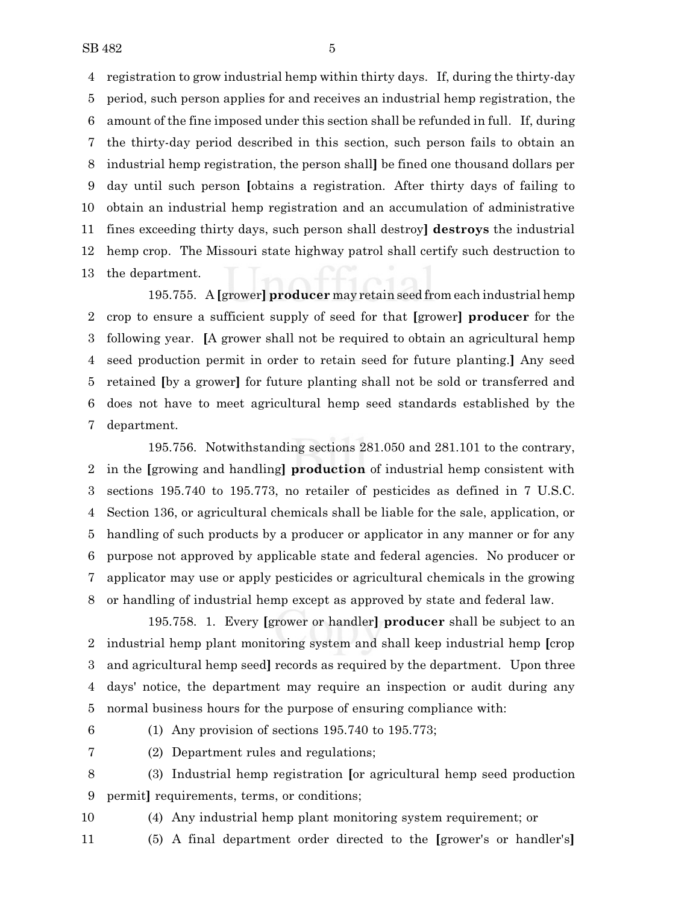registration to grow industrial hemp within thirty days. If, during the thirty-day period, such person applies for and receives an industrial hemp registration, the amount of the fine imposed under this section shall be refunded in full. If, during the thirty-day period described in this section, such person fails to obtain an industrial hemp registration, the person shall**]** be fined one thousand dollars per day until such person **[**obtains a registration. After thirty days of failing to obtain an industrial hemp registration and an accumulation of administrative fines exceeding thirty days, such person shall destroy**] destroys** the industrial hemp crop. The Missouri state highway patrol shall certify such destruction to the department.

195.755. A **[**grower**] producer** may retain seed from each industrial hemp crop to ensure a sufficient supply of seed for that **[**grower**] producer** for the following year. **[**A grower shall not be required to obtain an agricultural hemp seed production permit in order to retain seed for future planting.**]** Any seed retained **[**by a grower**]** for future planting shall not be sold or transferred and does not have to meet agricultural hemp seed standards established by the department.

195.756. Notwithstanding sections 281.050 and 281.101 to the contrary, in the **[**growing and handling**] production** of industrial hemp consistent with sections 195.740 to 195.773, no retailer of pesticides as defined in 7 U.S.C. Section 136, or agricultural chemicals shall be liable for the sale, application, or handling of such products by a producer or applicator in any manner or for any purpose not approved by applicable state and federal agencies. No producer or applicator may use or apply pesticides or agricultural chemicals in the growing or handling of industrial hemp except as approved by state and federal law.

195.758. 1. Every **[**grower or handler**] producer** shall be subject to an industrial hemp plant monitoring system and shall keep industrial hemp **[**crop and agricultural hemp seed**]** records as required by the department. Upon three days' notice, the department may require an inspection or audit during any normal business hours for the purpose of ensuring compliance with:

(1) Any provision of sections 195.740 to 195.773;

(2) Department rules and regulations;

 (3) Industrial hemp registration **[**or agricultural hemp seed production permit**]** requirements, terms, or conditions;

(4) Any industrial hemp plant monitoring system requirement; or

(5) A final department order directed to the **[**grower's or handler's**]**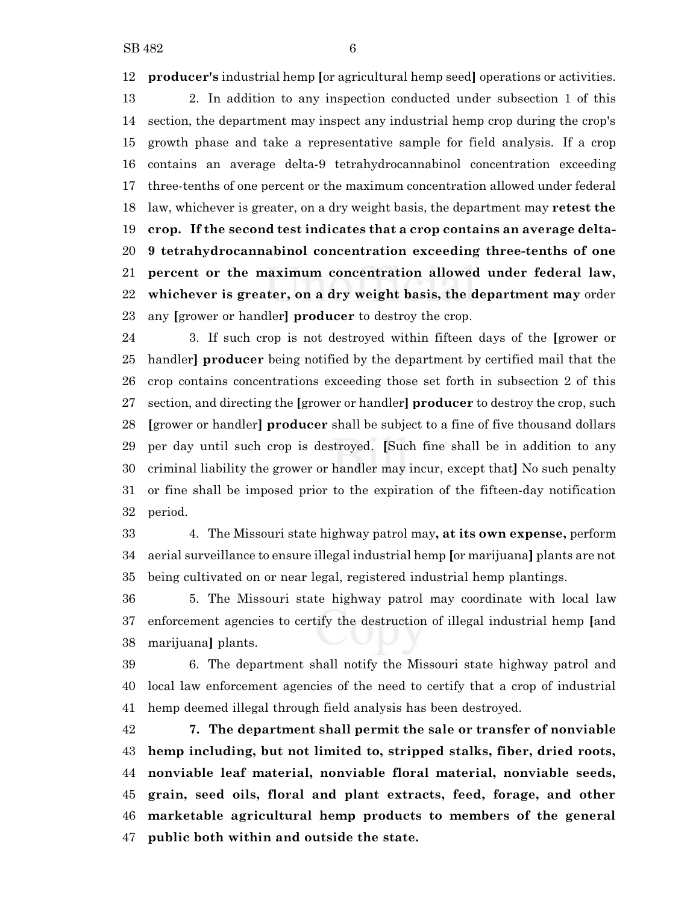**producer's** industrial hemp **[**or agricultural hemp seed**]** operations or activities.

 2. In addition to any inspection conducted under subsection 1 of this section, the department may inspect any industrial hemp crop during the crop's growth phase and take a representative sample for field analysis. If a crop contains an average delta-9 tetrahydrocannabinol concentration exceeding three-tenths of one percent or the maximum concentration allowed under federal law, whichever is greater, on a dry weight basis, the department may **retest the crop. If the second test indicates that a crop contains an average delta- 9 tetrahydrocannabinol concentration exceeding three-tenths of one percent or the maximum concentration allowed under federal law, whichever is greater, on a dry weight basis, the department may** order any **[**grower or handler**] producer** to destroy the crop.

 3. If such crop is not destroyed within fifteen days of the **[**grower or handler**] producer** being notified by the department by certified mail that the crop contains concentrations exceeding those set forth in subsection 2 of this section, and directing the **[**grower or handler**] producer** to destroy the crop, such **[**grower or handler**] producer** shall be subject to a fine of five thousand dollars per day until such crop is destroyed. **[**Such fine shall be in addition to any criminal liability the grower or handler may incur, except that**]** No such penalty or fine shall be imposed prior to the expiration of the fifteen-day notification period.

 4. The Missouri state highway patrol may**, at its own expense,** perform aerial surveillance to ensure illegal industrial hemp **[**or marijuana**]** plants are not being cultivated on or near legal, registered industrial hemp plantings.

 5. The Missouri state highway patrol may coordinate with local law enforcement agencies to certify the destruction of illegal industrial hemp **[**and marijuana**]** plants.

 6. The department shall notify the Missouri state highway patrol and local law enforcement agencies of the need to certify that a crop of industrial hemp deemed illegal through field analysis has been destroyed.

 **7. The department shall permit the sale or transfer of nonviable hemp including, but not limited to, stripped stalks, fiber, dried roots, nonviable leaf material, nonviable floral material, nonviable seeds, grain, seed oils, floral and plant extracts, feed, forage, and other marketable agricultural hemp products to members of the general public both within and outside the state.**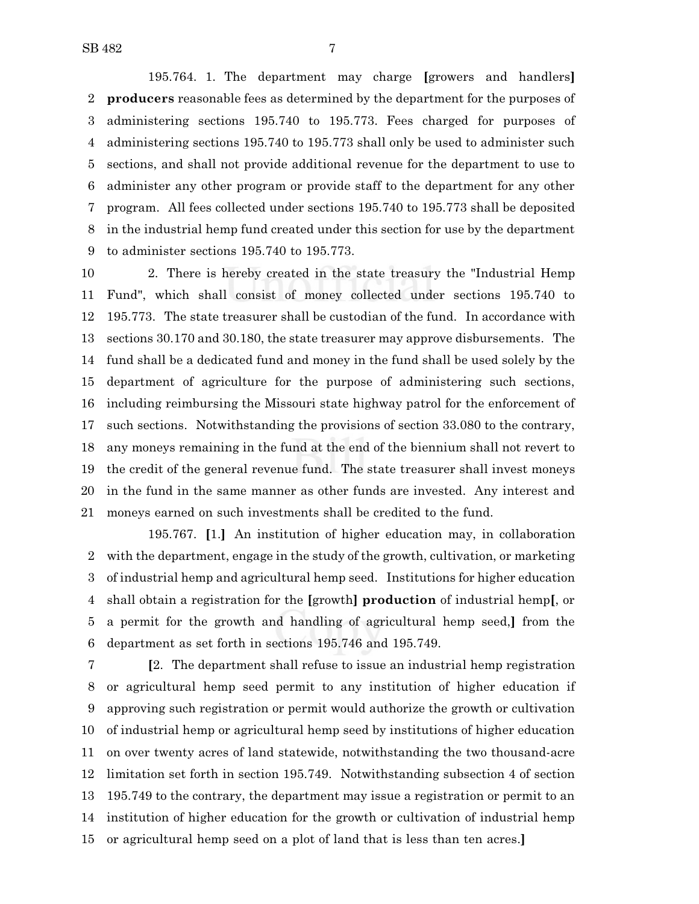195.764. 1. The department may charge **[**growers and handlers**] producers** reasonable fees as determined by the department for the purposes of administering sections 195.740 to 195.773. Fees charged for purposes of administering sections 195.740 to 195.773 shall only be used to administer such sections, and shall not provide additional revenue for the department to use to administer any other program or provide staff to the department for any other program. All fees collected under sections 195.740 to 195.773 shall be deposited in the industrial hemp fund created under this section for use by the department to administer sections 195.740 to 195.773.

 2. There is hereby created in the state treasury the "Industrial Hemp Fund", which shall consist of money collected under sections 195.740 to 195.773. The state treasurer shall be custodian of the fund. In accordance with sections 30.170 and 30.180, the state treasurer may approve disbursements. The fund shall be a dedicated fund and money in the fund shall be used solely by the department of agriculture for the purpose of administering such sections, including reimbursing the Missouri state highway patrol for the enforcement of such sections. Notwithstanding the provisions of section 33.080 to the contrary, any moneys remaining in the fund at the end of the biennium shall not revert to the credit of the general revenue fund. The state treasurer shall invest moneys in the fund in the same manner as other funds are invested. Any interest and moneys earned on such investments shall be credited to the fund.

195.767. **[**1.**]** An institution of higher education may, in collaboration with the department, engage in the study of the growth, cultivation, or marketing of industrial hemp and agricultural hemp seed. Institutions for higher education shall obtain a registration for the **[**growth**] production** of industrial hemp**[**, or a permit for the growth and handling of agricultural hemp seed,**]** from the department as set forth in sections 195.746 and 195.749.

 **[**2. The department shall refuse to issue an industrial hemp registration or agricultural hemp seed permit to any institution of higher education if approving such registration or permit would authorize the growth or cultivation of industrial hemp or agricultural hemp seed by institutions of higher education on over twenty acres of land statewide, notwithstanding the two thousand-acre limitation set forth in section 195.749. Notwithstanding subsection 4 of section 195.749 to the contrary, the department may issue a registration or permit to an institution of higher education for the growth or cultivation of industrial hemp or agricultural hemp seed on a plot of land that is less than ten acres.**]**